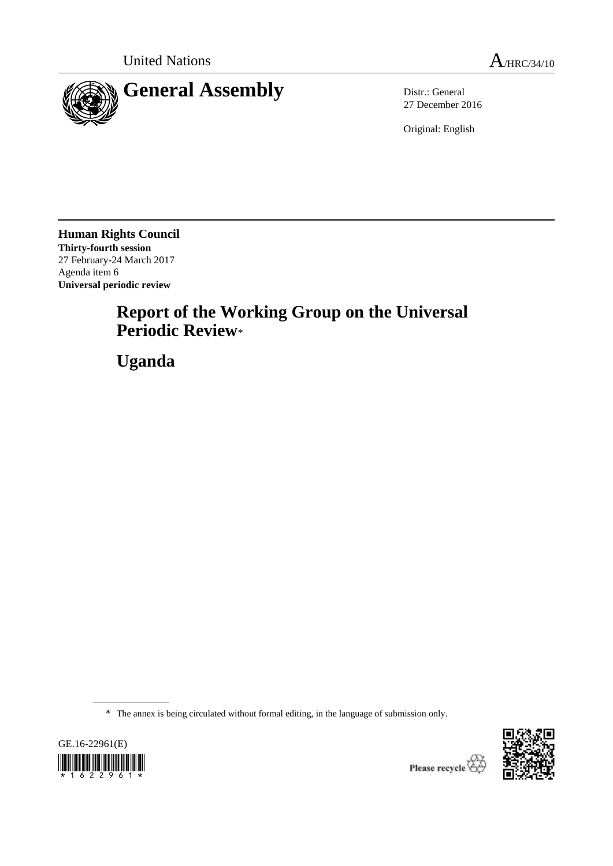

27 December 2016

Original: English

**Human Rights Council Thirty-fourth session** 27 February-24 March 2017 Agenda item 6 **Universal periodic review**

# **Report of the Working Group on the Universal Periodic Review**\*

**Uganda**

\* The annex is being circulated without formal editing, in the language of submission only.



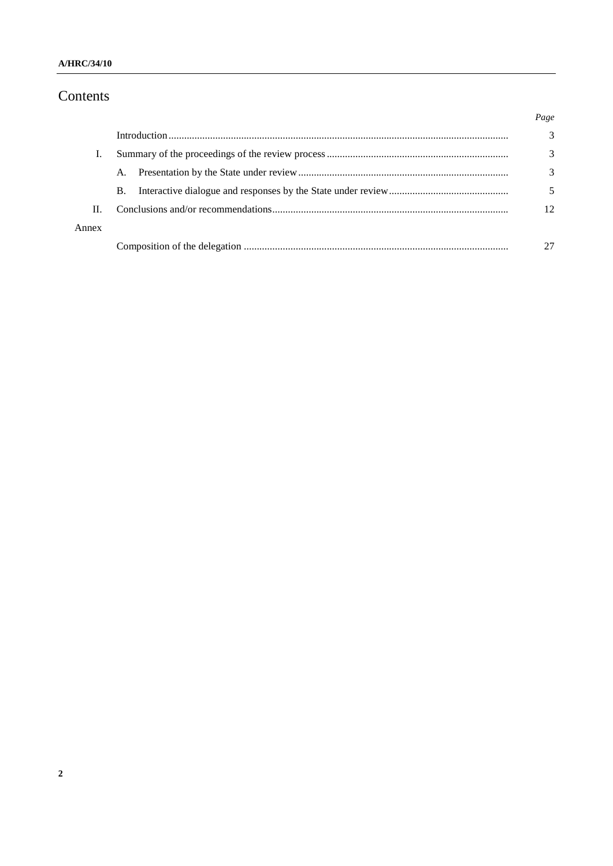### **A/HRC/34/10**

# Contents

|       |           | Page         |
|-------|-----------|--------------|
|       |           | 3            |
|       |           | 3            |
|       | A.        | 3            |
|       | <b>B.</b> |              |
| Π.    |           | $12^{\circ}$ |
| Annex |           |              |
|       |           |              |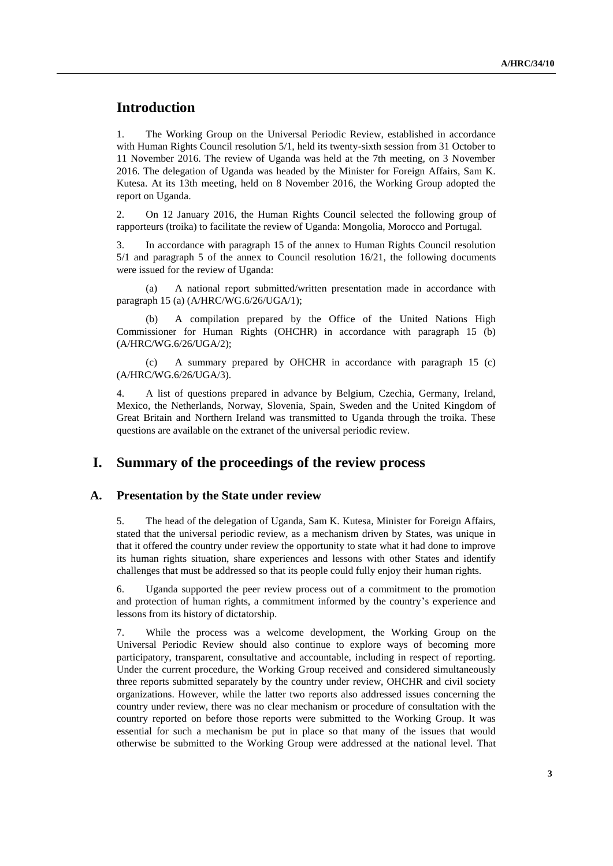# **Introduction**

1. The Working Group on the Universal Periodic Review, established in accordance with Human Rights Council resolution 5/1, held its twenty-sixth session from 31 October to 11 November 2016. The review of Uganda was held at the 7th meeting, on 3 November 2016. The delegation of Uganda was headed by the Minister for Foreign Affairs, Sam K. Kutesa. At its 13th meeting, held on 8 November 2016, the Working Group adopted the report on Uganda.

2. On 12 January 2016, the Human Rights Council selected the following group of rapporteurs (troika) to facilitate the review of Uganda: Mongolia, Morocco and Portugal.

3. In accordance with paragraph 15 of the annex to Human Rights Council resolution 5/1 and paragraph 5 of the annex to Council resolution 16/21, the following documents were issued for the review of Uganda:

(a) A national report submitted/written presentation made in accordance with paragraph 15 (a) (A/HRC/WG.6/26/UGA/1);

(b) A compilation prepared by the Office of the United Nations High Commissioner for Human Rights (OHCHR) in accordance with paragraph 15 (b) (A/HRC/WG.6/26/UGA/2);

(c) A summary prepared by OHCHR in accordance with paragraph 15 (c) (A/HRC/WG.6/26/UGA/3).

4. A list of questions prepared in advance by Belgium, Czechia, Germany, Ireland, Mexico, the Netherlands, Norway, Slovenia, Spain, Sweden and the United Kingdom of Great Britain and Northern Ireland was transmitted to Uganda through the troika. These questions are available on the extranet of the universal periodic review.

# **I. Summary of the proceedings of the review process**

#### **A. Presentation by the State under review**

5. The head of the delegation of Uganda, Sam K. Kutesa, Minister for Foreign Affairs, stated that the universal periodic review, as a mechanism driven by States, was unique in that it offered the country under review the opportunity to state what it had done to improve its human rights situation, share experiences and lessons with other States and identify challenges that must be addressed so that its people could fully enjoy their human rights.

6. Uganda supported the peer review process out of a commitment to the promotion and protection of human rights, a commitment informed by the country's experience and lessons from its history of dictatorship.

7. While the process was a welcome development, the Working Group on the Universal Periodic Review should also continue to explore ways of becoming more participatory, transparent, consultative and accountable, including in respect of reporting. Under the current procedure, the Working Group received and considered simultaneously three reports submitted separately by the country under review, OHCHR and civil society organizations. However, while the latter two reports also addressed issues concerning the country under review, there was no clear mechanism or procedure of consultation with the country reported on before those reports were submitted to the Working Group. It was essential for such a mechanism be put in place so that many of the issues that would otherwise be submitted to the Working Group were addressed at the national level. That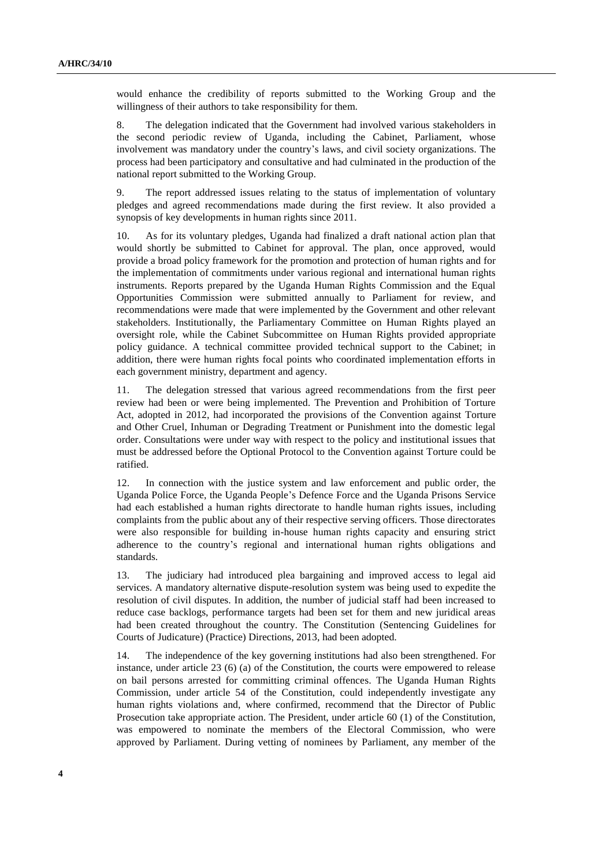would enhance the credibility of reports submitted to the Working Group and the willingness of their authors to take responsibility for them.

8. The delegation indicated that the Government had involved various stakeholders in the second periodic review of Uganda, including the Cabinet, Parliament, whose involvement was mandatory under the country's laws, and civil society organizations. The process had been participatory and consultative and had culminated in the production of the national report submitted to the Working Group.

9. The report addressed issues relating to the status of implementation of voluntary pledges and agreed recommendations made during the first review. It also provided a synopsis of key developments in human rights since 2011.

10. As for its voluntary pledges, Uganda had finalized a draft national action plan that would shortly be submitted to Cabinet for approval. The plan, once approved, would provide a broad policy framework for the promotion and protection of human rights and for the implementation of commitments under various regional and international human rights instruments. Reports prepared by the Uganda Human Rights Commission and the Equal Opportunities Commission were submitted annually to Parliament for review, and recommendations were made that were implemented by the Government and other relevant stakeholders. Institutionally, the Parliamentary Committee on Human Rights played an oversight role, while the Cabinet Subcommittee on Human Rights provided appropriate policy guidance. A technical committee provided technical support to the Cabinet; in addition, there were human rights focal points who coordinated implementation efforts in each government ministry, department and agency.

11. The delegation stressed that various agreed recommendations from the first peer review had been or were being implemented. The Prevention and Prohibition of Torture Act, adopted in 2012, had incorporated the provisions of the Convention against Torture and Other Cruel, Inhuman or Degrading Treatment or Punishment into the domestic legal order. Consultations were under way with respect to the policy and institutional issues that must be addressed before the Optional Protocol to the Convention against Torture could be ratified.

12. In connection with the justice system and law enforcement and public order, the Uganda Police Force, the Uganda People's Defence Force and the Uganda Prisons Service had each established a human rights directorate to handle human rights issues, including complaints from the public about any of their respective serving officers. Those directorates were also responsible for building in-house human rights capacity and ensuring strict adherence to the country's regional and international human rights obligations and standards.

13. The judiciary had introduced plea bargaining and improved access to legal aid services. A mandatory alternative dispute-resolution system was being used to expedite the resolution of civil disputes. In addition, the number of judicial staff had been increased to reduce case backlogs, performance targets had been set for them and new juridical areas had been created throughout the country. The Constitution (Sentencing Guidelines for Courts of Judicature) (Practice) Directions, 2013, had been adopted.

14. The independence of the key governing institutions had also been strengthened. For instance, under article 23 (6) (a) of the Constitution, the courts were empowered to release on bail persons arrested for committing criminal offences. The Uganda Human Rights Commission, under article 54 of the Constitution, could independently investigate any human rights violations and, where confirmed, recommend that the Director of Public Prosecution take appropriate action. The President, under article 60 (1) of the Constitution, was empowered to nominate the members of the Electoral Commission, who were approved by Parliament. During vetting of nominees by Parliament, any member of the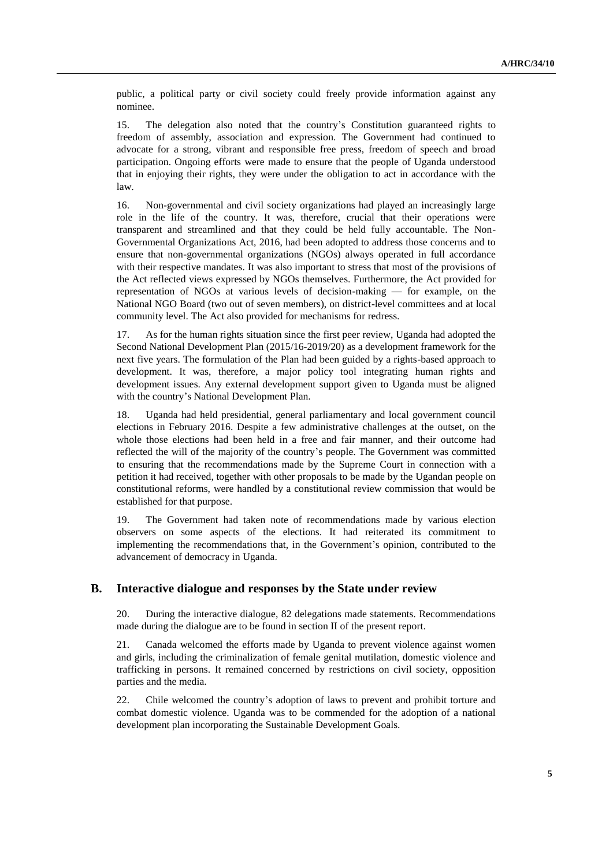public, a political party or civil society could freely provide information against any nominee.

15. The delegation also noted that the country's Constitution guaranteed rights to freedom of assembly, association and expression. The Government had continued to advocate for a strong, vibrant and responsible free press, freedom of speech and broad participation. Ongoing efforts were made to ensure that the people of Uganda understood that in enjoying their rights, they were under the obligation to act in accordance with the law.

16. Non-governmental and civil society organizations had played an increasingly large role in the life of the country. It was, therefore, crucial that their operations were transparent and streamlined and that they could be held fully accountable. The Non-Governmental Organizations Act, 2016, had been adopted to address those concerns and to ensure that non-governmental organizations (NGOs) always operated in full accordance with their respective mandates. It was also important to stress that most of the provisions of the Act reflected views expressed by NGOs themselves. Furthermore, the Act provided for representation of NGOs at various levels of decision-making — for example, on the National NGO Board (two out of seven members), on district-level committees and at local community level. The Act also provided for mechanisms for redress.

17. As for the human rights situation since the first peer review, Uganda had adopted the Second National Development Plan (2015/16-2019/20) as a development framework for the next five years. The formulation of the Plan had been guided by a rights-based approach to development. It was, therefore, a major policy tool integrating human rights and development issues. Any external development support given to Uganda must be aligned with the country's National Development Plan.

18. Uganda had held presidential, general parliamentary and local government council elections in February 2016. Despite a few administrative challenges at the outset, on the whole those elections had been held in a free and fair manner, and their outcome had reflected the will of the majority of the country's people. The Government was committed to ensuring that the recommendations made by the Supreme Court in connection with a petition it had received, together with other proposals to be made by the Ugandan people on constitutional reforms, were handled by a constitutional review commission that would be established for that purpose.

19. The Government had taken note of recommendations made by various election observers on some aspects of the elections. It had reiterated its commitment to implementing the recommendations that, in the Government's opinion, contributed to the advancement of democracy in Uganda.

### **B. Interactive dialogue and responses by the State under review**

20. During the interactive dialogue, 82 delegations made statements. Recommendations made during the dialogue are to be found in section II of the present report.

21. Canada welcomed the efforts made by Uganda to prevent violence against women and girls, including the criminalization of female genital mutilation, domestic violence and trafficking in persons. It remained concerned by restrictions on civil society, opposition parties and the media.

22. Chile welcomed the country's adoption of laws to prevent and prohibit torture and combat domestic violence. Uganda was to be commended for the adoption of a national development plan incorporating the Sustainable Development Goals.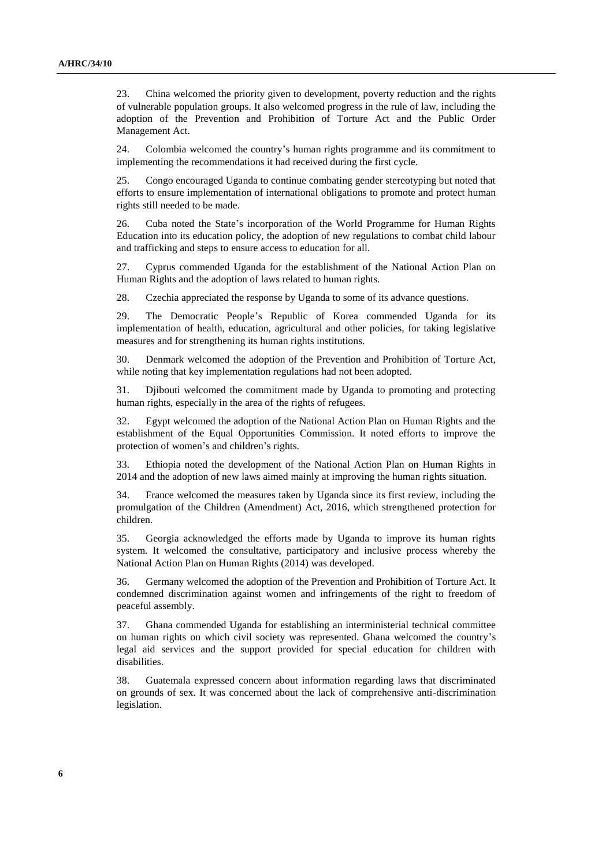23. China welcomed the priority given to development, poverty reduction and the rights of vulnerable population groups. It also welcomed progress in the rule of law, including the adoption of the Prevention and Prohibition of Torture Act and the Public Order Management Act.

24. Colombia welcomed the country's human rights programme and its commitment to implementing the recommendations it had received during the first cycle.

25. Congo encouraged Uganda to continue combating gender stereotyping but noted that efforts to ensure implementation of international obligations to promote and protect human rights still needed to be made.

26. Cuba noted the State's incorporation of the World Programme for Human Rights Education into its education policy, the adoption of new regulations to combat child labour and trafficking and steps to ensure access to education for all.

27. Cyprus commended Uganda for the establishment of the National Action Plan on Human Rights and the adoption of laws related to human rights.

28. Czechia appreciated the response by Uganda to some of its advance questions.

29. The Democratic People's Republic of Korea commended Uganda for its implementation of health, education, agricultural and other policies, for taking legislative measures and for strengthening its human rights institutions.

30. Denmark welcomed the adoption of the Prevention and Prohibition of Torture Act, while noting that key implementation regulations had not been adopted.

31. Djibouti welcomed the commitment made by Uganda to promoting and protecting human rights, especially in the area of the rights of refugees.

32. Egypt welcomed the adoption of the National Action Plan on Human Rights and the establishment of the Equal Opportunities Commission. It noted efforts to improve the protection of women's and children's rights.

33. Ethiopia noted the development of the National Action Plan on Human Rights in 2014 and the adoption of new laws aimed mainly at improving the human rights situation.

34. France welcomed the measures taken by Uganda since its first review, including the promulgation of the Children (Amendment) Act, 2016, which strengthened protection for children.

35. Georgia acknowledged the efforts made by Uganda to improve its human rights system. It welcomed the consultative, participatory and inclusive process whereby the National Action Plan on Human Rights (2014) was developed.

36. Germany welcomed the adoption of the Prevention and Prohibition of Torture Act. It condemned discrimination against women and infringements of the right to freedom of peaceful assembly.

37. Ghana commended Uganda for establishing an interministerial technical committee on human rights on which civil society was represented. Ghana welcomed the country's legal aid services and the support provided for special education for children with disabilities.

38. Guatemala expressed concern about information regarding laws that discriminated on grounds of sex. It was concerned about the lack of comprehensive anti-discrimination legislation.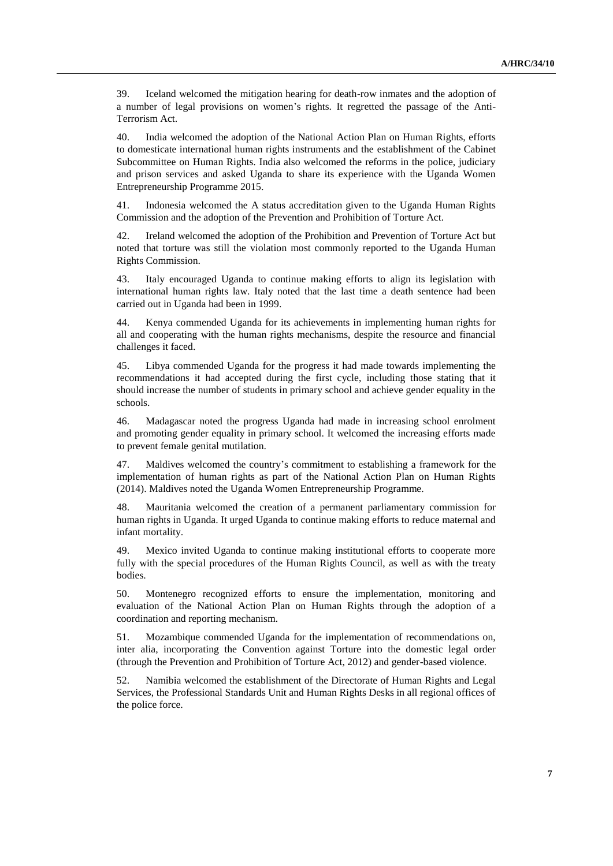39. Iceland welcomed the mitigation hearing for death-row inmates and the adoption of a number of legal provisions on women's rights. It regretted the passage of the Anti-Terrorism Act.

40. India welcomed the adoption of the National Action Plan on Human Rights, efforts to domesticate international human rights instruments and the establishment of the Cabinet Subcommittee on Human Rights. India also welcomed the reforms in the police, judiciary and prison services and asked Uganda to share its experience with the Uganda Women Entrepreneurship Programme 2015.

41. Indonesia welcomed the A status accreditation given to the Uganda Human Rights Commission and the adoption of the Prevention and Prohibition of Torture Act.

42. Ireland welcomed the adoption of the Prohibition and Prevention of Torture Act but noted that torture was still the violation most commonly reported to the Uganda Human Rights Commission.

43. Italy encouraged Uganda to continue making efforts to align its legislation with international human rights law. Italy noted that the last time a death sentence had been carried out in Uganda had been in 1999.

44. Kenya commended Uganda for its achievements in implementing human rights for all and cooperating with the human rights mechanisms, despite the resource and financial challenges it faced.

45. Libya commended Uganda for the progress it had made towards implementing the recommendations it had accepted during the first cycle, including those stating that it should increase the number of students in primary school and achieve gender equality in the schools.

46. Madagascar noted the progress Uganda had made in increasing school enrolment and promoting gender equality in primary school. It welcomed the increasing efforts made to prevent female genital mutilation.

47. Maldives welcomed the country's commitment to establishing a framework for the implementation of human rights as part of the National Action Plan on Human Rights (2014). Maldives noted the Uganda Women Entrepreneurship Programme.

48. Mauritania welcomed the creation of a permanent parliamentary commission for human rights in Uganda. It urged Uganda to continue making efforts to reduce maternal and infant mortality.

49. Mexico invited Uganda to continue making institutional efforts to cooperate more fully with the special procedures of the Human Rights Council, as well as with the treaty bodies.

50. Montenegro recognized efforts to ensure the implementation, monitoring and evaluation of the National Action Plan on Human Rights through the adoption of a coordination and reporting mechanism.

51. Mozambique commended Uganda for the implementation of recommendations on, inter alia, incorporating the Convention against Torture into the domestic legal order (through the Prevention and Prohibition of Torture Act, 2012) and gender-based violence.

52. Namibia welcomed the establishment of the Directorate of Human Rights and Legal Services, the Professional Standards Unit and Human Rights Desks in all regional offices of the police force.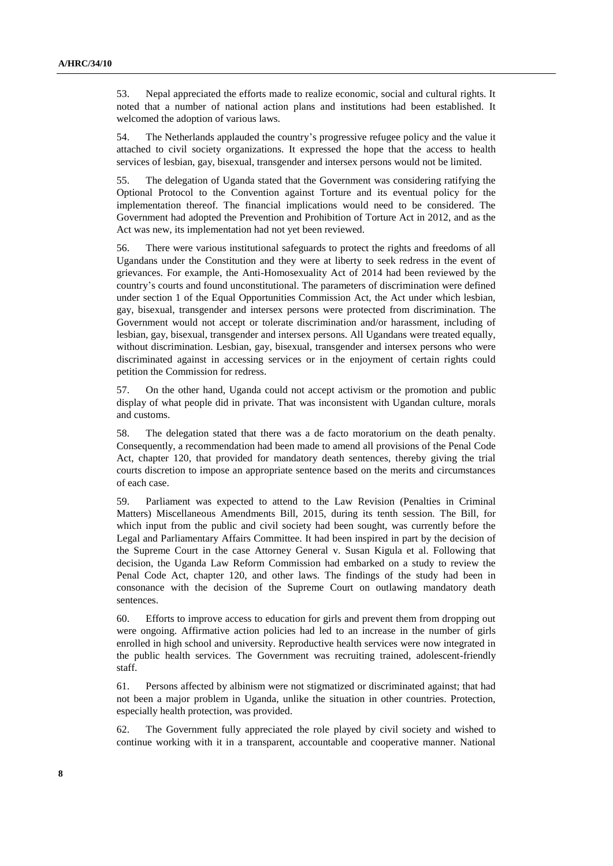53. Nepal appreciated the efforts made to realize economic, social and cultural rights. It noted that a number of national action plans and institutions had been established. It welcomed the adoption of various laws.

54. The Netherlands applauded the country's progressive refugee policy and the value it attached to civil society organizations. It expressed the hope that the access to health services of lesbian, gay, bisexual, transgender and intersex persons would not be limited.

55. The delegation of Uganda stated that the Government was considering ratifying the Optional Protocol to the Convention against Torture and its eventual policy for the implementation thereof. The financial implications would need to be considered. The Government had adopted the Prevention and Prohibition of Torture Act in 2012, and as the Act was new, its implementation had not yet been reviewed.

56. There were various institutional safeguards to protect the rights and freedoms of all Ugandans under the Constitution and they were at liberty to seek redress in the event of grievances. For example, the Anti-Homosexuality Act of 2014 had been reviewed by the country's courts and found unconstitutional. The parameters of discrimination were defined under section 1 of the Equal Opportunities Commission Act, the Act under which lesbian, gay, bisexual, transgender and intersex persons were protected from discrimination. The Government would not accept or tolerate discrimination and/or harassment, including of lesbian, gay, bisexual, transgender and intersex persons. All Ugandans were treated equally, without discrimination. Lesbian, gay, bisexual, transgender and intersex persons who were discriminated against in accessing services or in the enjoyment of certain rights could petition the Commission for redress.

57. On the other hand, Uganda could not accept activism or the promotion and public display of what people did in private. That was inconsistent with Ugandan culture, morals and customs.

58. The delegation stated that there was a de facto moratorium on the death penalty. Consequently, a recommendation had been made to amend all provisions of the Penal Code Act, chapter 120, that provided for mandatory death sentences, thereby giving the trial courts discretion to impose an appropriate sentence based on the merits and circumstances of each case.

59. Parliament was expected to attend to the Law Revision (Penalties in Criminal Matters) Miscellaneous Amendments Bill, 2015, during its tenth session. The Bill, for which input from the public and civil society had been sought, was currently before the Legal and Parliamentary Affairs Committee. It had been inspired in part by the decision of the Supreme Court in the case Attorney General v. Susan Kigula et al. Following that decision, the Uganda Law Reform Commission had embarked on a study to review the Penal Code Act, chapter 120, and other laws. The findings of the study had been in consonance with the decision of the Supreme Court on outlawing mandatory death sentences.

60. Efforts to improve access to education for girls and prevent them from dropping out were ongoing. Affirmative action policies had led to an increase in the number of girls enrolled in high school and university. Reproductive health services were now integrated in the public health services. The Government was recruiting trained, adolescent-friendly staff.

61. Persons affected by albinism were not stigmatized or discriminated against; that had not been a major problem in Uganda, unlike the situation in other countries. Protection, especially health protection, was provided.

62. The Government fully appreciated the role played by civil society and wished to continue working with it in a transparent, accountable and cooperative manner. National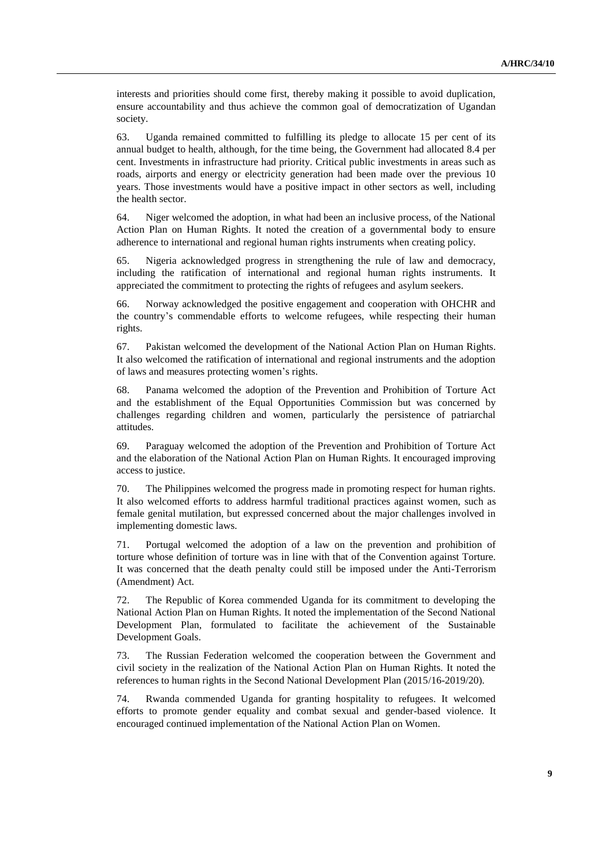interests and priorities should come first, thereby making it possible to avoid duplication, ensure accountability and thus achieve the common goal of democratization of Ugandan society.

63. Uganda remained committed to fulfilling its pledge to allocate 15 per cent of its annual budget to health, although, for the time being, the Government had allocated 8.4 per cent. Investments in infrastructure had priority. Critical public investments in areas such as roads, airports and energy or electricity generation had been made over the previous 10 years. Those investments would have a positive impact in other sectors as well, including the health sector.

64. Niger welcomed the adoption, in what had been an inclusive process, of the National Action Plan on Human Rights. It noted the creation of a governmental body to ensure adherence to international and regional human rights instruments when creating policy.

65. Nigeria acknowledged progress in strengthening the rule of law and democracy, including the ratification of international and regional human rights instruments. It appreciated the commitment to protecting the rights of refugees and asylum seekers.

66. Norway acknowledged the positive engagement and cooperation with OHCHR and the country's commendable efforts to welcome refugees, while respecting their human rights.

67. Pakistan welcomed the development of the National Action Plan on Human Rights. It also welcomed the ratification of international and regional instruments and the adoption of laws and measures protecting women's rights.

68. Panama welcomed the adoption of the Prevention and Prohibition of Torture Act and the establishment of the Equal Opportunities Commission but was concerned by challenges regarding children and women, particularly the persistence of patriarchal attitudes.

69. Paraguay welcomed the adoption of the Prevention and Prohibition of Torture Act and the elaboration of the National Action Plan on Human Rights. It encouraged improving access to justice.

70. The Philippines welcomed the progress made in promoting respect for human rights. It also welcomed efforts to address harmful traditional practices against women, such as female genital mutilation, but expressed concerned about the major challenges involved in implementing domestic laws.

71. Portugal welcomed the adoption of a law on the prevention and prohibition of torture whose definition of torture was in line with that of the Convention against Torture. It was concerned that the death penalty could still be imposed under the Anti-Terrorism (Amendment) Act.

72. The Republic of Korea commended Uganda for its commitment to developing the National Action Plan on Human Rights. It noted the implementation of the Second National Development Plan, formulated to facilitate the achievement of the Sustainable Development Goals.

73. The Russian Federation welcomed the cooperation between the Government and civil society in the realization of the National Action Plan on Human Rights. It noted the references to human rights in the Second National Development Plan (2015/16-2019/20).

74. Rwanda commended Uganda for granting hospitality to refugees. It welcomed efforts to promote gender equality and combat sexual and gender-based violence. It encouraged continued implementation of the National Action Plan on Women.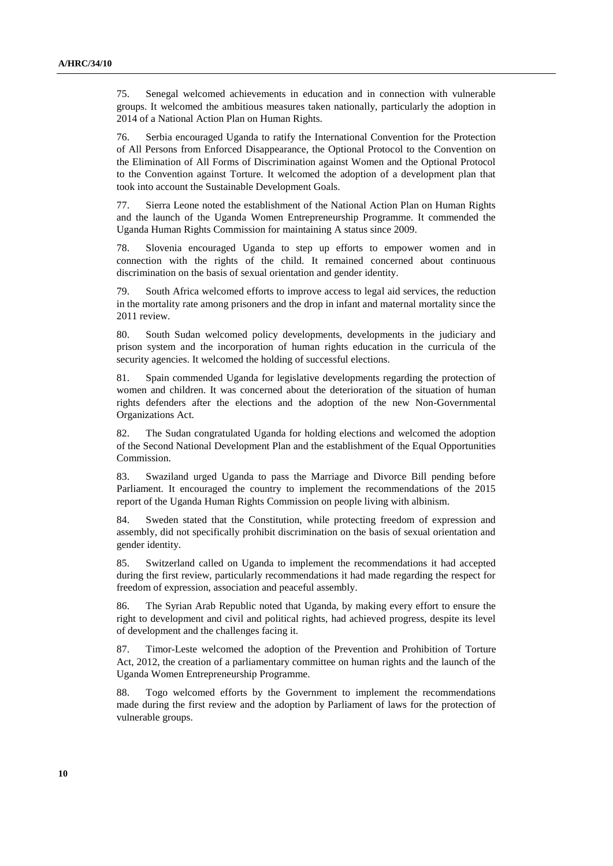75. Senegal welcomed achievements in education and in connection with vulnerable groups. It welcomed the ambitious measures taken nationally, particularly the adoption in 2014 of a National Action Plan on Human Rights.

76. Serbia encouraged Uganda to ratify the International Convention for the Protection of All Persons from Enforced Disappearance, the Optional Protocol to the Convention on the Elimination of All Forms of Discrimination against Women and the Optional Protocol to the Convention against Torture. It welcomed the adoption of a development plan that took into account the Sustainable Development Goals.

77. Sierra Leone noted the establishment of the National Action Plan on Human Rights and the launch of the Uganda Women Entrepreneurship Programme. It commended the Uganda Human Rights Commission for maintaining A status since 2009.

78. Slovenia encouraged Uganda to step up efforts to empower women and in connection with the rights of the child. It remained concerned about continuous discrimination on the basis of sexual orientation and gender identity.

79. South Africa welcomed efforts to improve access to legal aid services, the reduction in the mortality rate among prisoners and the drop in infant and maternal mortality since the 2011 review.

80. South Sudan welcomed policy developments, developments in the judiciary and prison system and the incorporation of human rights education in the curricula of the security agencies. It welcomed the holding of successful elections.

81. Spain commended Uganda for legislative developments regarding the protection of women and children. It was concerned about the deterioration of the situation of human rights defenders after the elections and the adoption of the new Non-Governmental Organizations Act.

82. The Sudan congratulated Uganda for holding elections and welcomed the adoption of the Second National Development Plan and the establishment of the Equal Opportunities Commission.

83. Swaziland urged Uganda to pass the Marriage and Divorce Bill pending before Parliament. It encouraged the country to implement the recommendations of the 2015 report of the Uganda Human Rights Commission on people living with albinism.

84. Sweden stated that the Constitution, while protecting freedom of expression and assembly, did not specifically prohibit discrimination on the basis of sexual orientation and gender identity.

85. Switzerland called on Uganda to implement the recommendations it had accepted during the first review, particularly recommendations it had made regarding the respect for freedom of expression, association and peaceful assembly.

86. The Syrian Arab Republic noted that Uganda, by making every effort to ensure the right to development and civil and political rights, had achieved progress, despite its level of development and the challenges facing it.

87. Timor-Leste welcomed the adoption of the Prevention and Prohibition of Torture Act, 2012, the creation of a parliamentary committee on human rights and the launch of the Uganda Women Entrepreneurship Programme.

88. Togo welcomed efforts by the Government to implement the recommendations made during the first review and the adoption by Parliament of laws for the protection of vulnerable groups.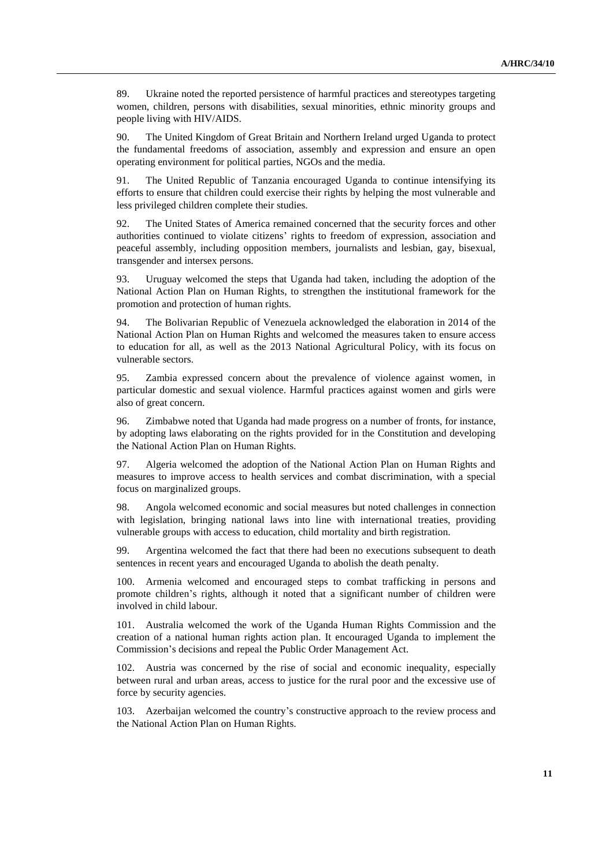89. Ukraine noted the reported persistence of harmful practices and stereotypes targeting women, children, persons with disabilities, sexual minorities, ethnic minority groups and people living with HIV/AIDS.

90. The United Kingdom of Great Britain and Northern Ireland urged Uganda to protect the fundamental freedoms of association, assembly and expression and ensure an open operating environment for political parties, NGOs and the media.

91. The United Republic of Tanzania encouraged Uganda to continue intensifying its efforts to ensure that children could exercise their rights by helping the most vulnerable and less privileged children complete their studies.

92. The United States of America remained concerned that the security forces and other authorities continued to violate citizens' rights to freedom of expression, association and peaceful assembly, including opposition members, journalists and lesbian, gay, bisexual, transgender and intersex persons.

93. Uruguay welcomed the steps that Uganda had taken, including the adoption of the National Action Plan on Human Rights, to strengthen the institutional framework for the promotion and protection of human rights.

94. The Bolivarian Republic of Venezuela acknowledged the elaboration in 2014 of the National Action Plan on Human Rights and welcomed the measures taken to ensure access to education for all, as well as the 2013 National Agricultural Policy, with its focus on vulnerable sectors.

95. Zambia expressed concern about the prevalence of violence against women, in particular domestic and sexual violence. Harmful practices against women and girls were also of great concern.

96. Zimbabwe noted that Uganda had made progress on a number of fronts, for instance, by adopting laws elaborating on the rights provided for in the Constitution and developing the National Action Plan on Human Rights.

97. Algeria welcomed the adoption of the National Action Plan on Human Rights and measures to improve access to health services and combat discrimination, with a special focus on marginalized groups.

98. Angola welcomed economic and social measures but noted challenges in connection with legislation, bringing national laws into line with international treaties, providing vulnerable groups with access to education, child mortality and birth registration.

99. Argentina welcomed the fact that there had been no executions subsequent to death sentences in recent years and encouraged Uganda to abolish the death penalty.

100. Armenia welcomed and encouraged steps to combat trafficking in persons and promote children's rights, although it noted that a significant number of children were involved in child labour.

101. Australia welcomed the work of the Uganda Human Rights Commission and the creation of a national human rights action plan. It encouraged Uganda to implement the Commission's decisions and repeal the Public Order Management Act.

102. Austria was concerned by the rise of social and economic inequality, especially between rural and urban areas, access to justice for the rural poor and the excessive use of force by security agencies.

103. Azerbaijan welcomed the country's constructive approach to the review process and the National Action Plan on Human Rights.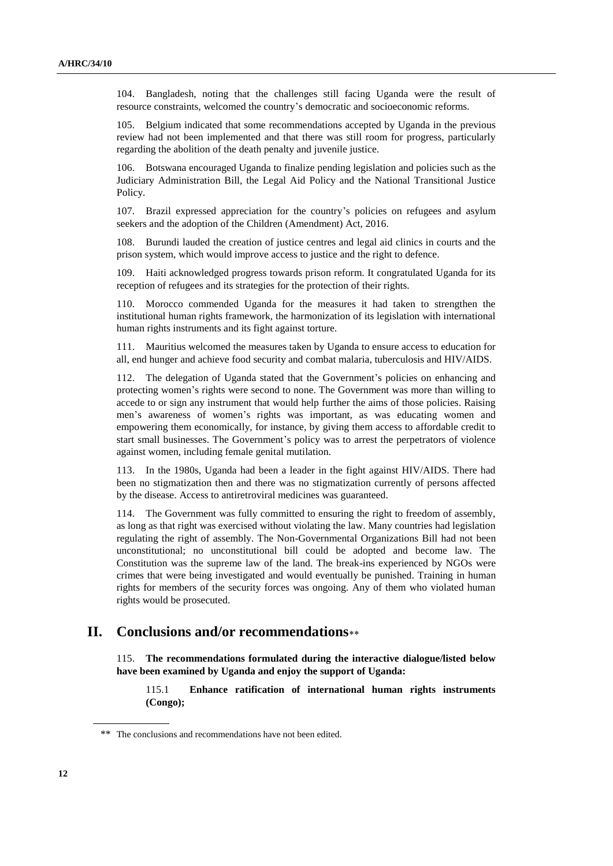104. Bangladesh, noting that the challenges still facing Uganda were the result of resource constraints, welcomed the country's democratic and socioeconomic reforms.

105. Belgium indicated that some recommendations accepted by Uganda in the previous review had not been implemented and that there was still room for progress, particularly regarding the abolition of the death penalty and juvenile justice.

106. Botswana encouraged Uganda to finalize pending legislation and policies such as the Judiciary Administration Bill, the Legal Aid Policy and the National Transitional Justice Policy.

107. Brazil expressed appreciation for the country's policies on refugees and asylum seekers and the adoption of the Children (Amendment) Act, 2016.

108. Burundi lauded the creation of justice centres and legal aid clinics in courts and the prison system, which would improve access to justice and the right to defence.

109. Haiti acknowledged progress towards prison reform. It congratulated Uganda for its reception of refugees and its strategies for the protection of their rights.

110. Morocco commended Uganda for the measures it had taken to strengthen the institutional human rights framework, the harmonization of its legislation with international human rights instruments and its fight against torture.

111. Mauritius welcomed the measures taken by Uganda to ensure access to education for all, end hunger and achieve food security and combat malaria, tuberculosis and HIV/AIDS.

112. The delegation of Uganda stated that the Government's policies on enhancing and protecting women's rights were second to none. The Government was more than willing to accede to or sign any instrument that would help further the aims of those policies. Raising men's awareness of women's rights was important, as was educating women and empowering them economically, for instance, by giving them access to affordable credit to start small businesses. The Government's policy was to arrest the perpetrators of violence against women, including female genital mutilation.

113. In the 1980s, Uganda had been a leader in the fight against HIV/AIDS. There had been no stigmatization then and there was no stigmatization currently of persons affected by the disease. Access to antiretroviral medicines was guaranteed.

114. The Government was fully committed to ensuring the right to freedom of assembly, as long as that right was exercised without violating the law. Many countries had legislation regulating the right of assembly. The Non-Governmental Organizations Bill had not been unconstitutional; no unconstitutional bill could be adopted and become law. The Constitution was the supreme law of the land. The break-ins experienced by NGOs were crimes that were being investigated and would eventually be punished. Training in human rights for members of the security forces was ongoing. Any of them who violated human rights would be prosecuted.

# **II. Conclusions and/or recommendations**

115. **The recommendations formulated during the interactive dialogue/listed below have been examined by Uganda and enjoy the support of Uganda:**

115.1 **Enhance ratification of international human rights instruments (Congo);**

<sup>\*\*</sup> The conclusions and recommendations have not been edited.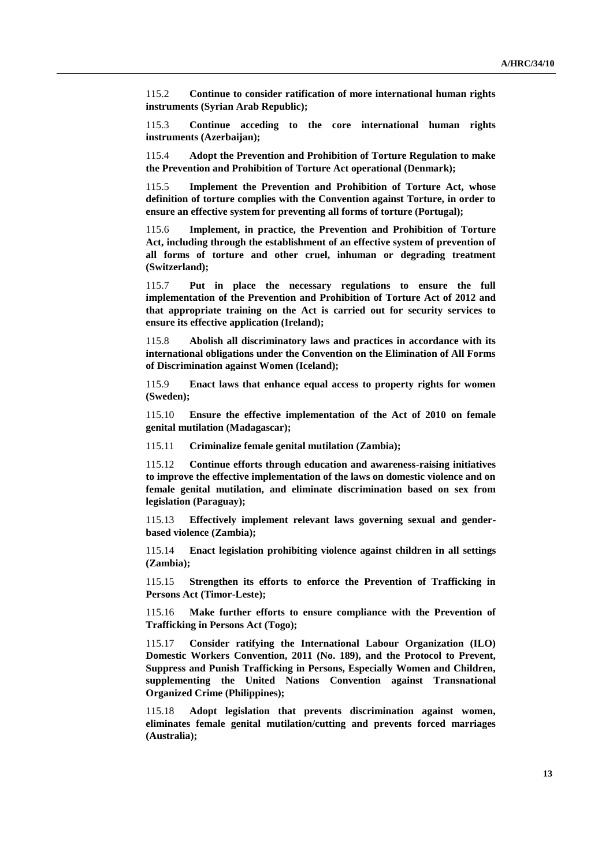115.2 **Continue to consider ratification of more international human rights instruments (Syrian Arab Republic);**

115.3 **Continue acceding to the core international human rights instruments (Azerbaijan);**

115.4 **Adopt the Prevention and Prohibition of Torture Regulation to make the Prevention and Prohibition of Torture Act operational (Denmark);**

115.5 **Implement the Prevention and Prohibition of Torture Act, whose definition of torture complies with the Convention against Torture, in order to ensure an effective system for preventing all forms of torture (Portugal);**

115.6 **Implement, in practice, the Prevention and Prohibition of Torture Act, including through the establishment of an effective system of prevention of all forms of torture and other cruel, inhuman or degrading treatment (Switzerland);**

115.7 **Put in place the necessary regulations to ensure the full implementation of the Prevention and Prohibition of Torture Act of 2012 and that appropriate training on the Act is carried out for security services to ensure its effective application (Ireland);**

115.8 **Abolish all discriminatory laws and practices in accordance with its international obligations under the Convention on the Elimination of All Forms of Discrimination against Women (Iceland);**

115.9 **Enact laws that enhance equal access to property rights for women (Sweden);**

115.10 **Ensure the effective implementation of the Act of 2010 on female genital mutilation (Madagascar);**

115.11 **Criminalize female genital mutilation (Zambia);**

115.12 **Continue efforts through education and awareness-raising initiatives to improve the effective implementation of the laws on domestic violence and on female genital mutilation, and eliminate discrimination based on sex from legislation (Paraguay);**

115.13 **Effectively implement relevant laws governing sexual and genderbased violence (Zambia);**

115.14 **Enact legislation prohibiting violence against children in all settings (Zambia);**

115.15 **Strengthen its efforts to enforce the Prevention of Trafficking in Persons Act (Timor-Leste);**

115.16 **Make further efforts to ensure compliance with the Prevention of Trafficking in Persons Act (Togo);**

115.17 **Consider ratifying the International Labour Organization (ILO) Domestic Workers Convention, 2011 (No. 189), and the Protocol to Prevent, Suppress and Punish Trafficking in Persons, Especially Women and Children, supplementing the United Nations Convention against Transnational Organized Crime (Philippines);**

115.18 **Adopt legislation that prevents discrimination against women, eliminates female genital mutilation/cutting and prevents forced marriages (Australia);**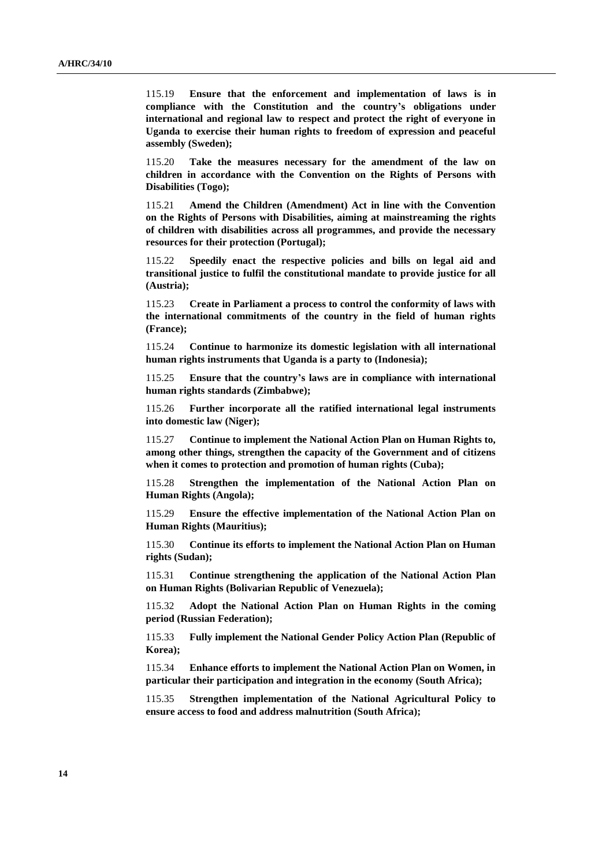115.19 **Ensure that the enforcement and implementation of laws is in compliance with the Constitution and the country's obligations under international and regional law to respect and protect the right of everyone in Uganda to exercise their human rights to freedom of expression and peaceful assembly (Sweden);**

115.20 **Take the measures necessary for the amendment of the law on children in accordance with the Convention on the Rights of Persons with Disabilities (Togo);**

115.21 **Amend the Children (Amendment) Act in line with the Convention on the Rights of Persons with Disabilities, aiming at mainstreaming the rights of children with disabilities across all programmes, and provide the necessary resources for their protection (Portugal);**

115.22 **Speedily enact the respective policies and bills on legal aid and transitional justice to fulfil the constitutional mandate to provide justice for all (Austria);**

115.23 **Create in Parliament a process to control the conformity of laws with the international commitments of the country in the field of human rights (France);**

115.24 **Continue to harmonize its domestic legislation with all international human rights instruments that Uganda is a party to (Indonesia);**

115.25 **Ensure that the country's laws are in compliance with international human rights standards (Zimbabwe);**

115.26 **Further incorporate all the ratified international legal instruments into domestic law (Niger);**

115.27 **Continue to implement the National Action Plan on Human Rights to, among other things, strengthen the capacity of the Government and of citizens when it comes to protection and promotion of human rights (Cuba);**

115.28 **Strengthen the implementation of the National Action Plan on Human Rights (Angola);**

115.29 **Ensure the effective implementation of the National Action Plan on Human Rights (Mauritius);**

115.30 **Continue its efforts to implement the National Action Plan on Human rights (Sudan);**

115.31 **Continue strengthening the application of the National Action Plan on Human Rights (Bolivarian Republic of Venezuela);**

115.32 **Adopt the National Action Plan on Human Rights in the coming period (Russian Federation);**

115.33 **Fully implement the National Gender Policy Action Plan (Republic of Korea);**

115.34 **Enhance efforts to implement the National Action Plan on Women, in particular their participation and integration in the economy (South Africa);**

115.35 **Strengthen implementation of the National Agricultural Policy to ensure access to food and address malnutrition (South Africa);**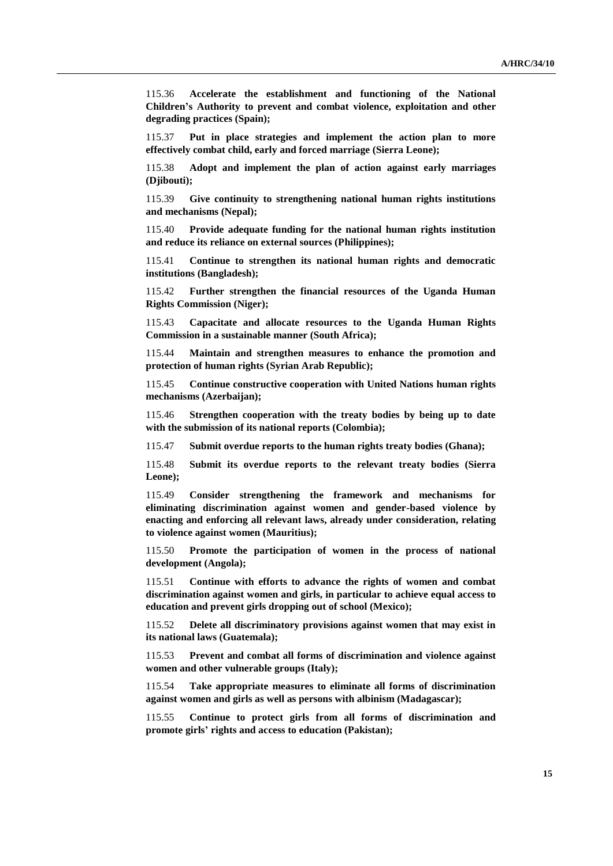115.36 **Accelerate the establishment and functioning of the National Children's Authority to prevent and combat violence, exploitation and other degrading practices (Spain);**

115.37 **Put in place strategies and implement the action plan to more effectively combat child, early and forced marriage (Sierra Leone);**

115.38 **Adopt and implement the plan of action against early marriages (Djibouti);**

115.39 **Give continuity to strengthening national human rights institutions and mechanisms (Nepal);**

115.40 **Provide adequate funding for the national human rights institution and reduce its reliance on external sources (Philippines);**

115.41 **Continue to strengthen its national human rights and democratic institutions (Bangladesh);**

115.42 **Further strengthen the financial resources of the Uganda Human Rights Commission (Niger);**

115.43 **Capacitate and allocate resources to the Uganda Human Rights Commission in a sustainable manner (South Africa);**

115.44 **Maintain and strengthen measures to enhance the promotion and protection of human rights (Syrian Arab Republic);**

115.45 **Continue constructive cooperation with United Nations human rights mechanisms (Azerbaijan);**

115.46 **Strengthen cooperation with the treaty bodies by being up to date with the submission of its national reports (Colombia);**

115.47 **Submit overdue reports to the human rights treaty bodies (Ghana);**

115.48 **Submit its overdue reports to the relevant treaty bodies (Sierra Leone);**

115.49 **Consider strengthening the framework and mechanisms for eliminating discrimination against women and gender-based violence by enacting and enforcing all relevant laws, already under consideration, relating to violence against women (Mauritius);**

115.50 **Promote the participation of women in the process of national development (Angola);**

115.51 **Continue with efforts to advance the rights of women and combat discrimination against women and girls, in particular to achieve equal access to education and prevent girls dropping out of school (Mexico);**

115.52 **Delete all discriminatory provisions against women that may exist in its national laws (Guatemala);**

115.53 **Prevent and combat all forms of discrimination and violence against women and other vulnerable groups (Italy);**

115.54 **Take appropriate measures to eliminate all forms of discrimination against women and girls as well as persons with albinism (Madagascar);**

115.55 **Continue to protect girls from all forms of discrimination and promote girls' rights and access to education (Pakistan);**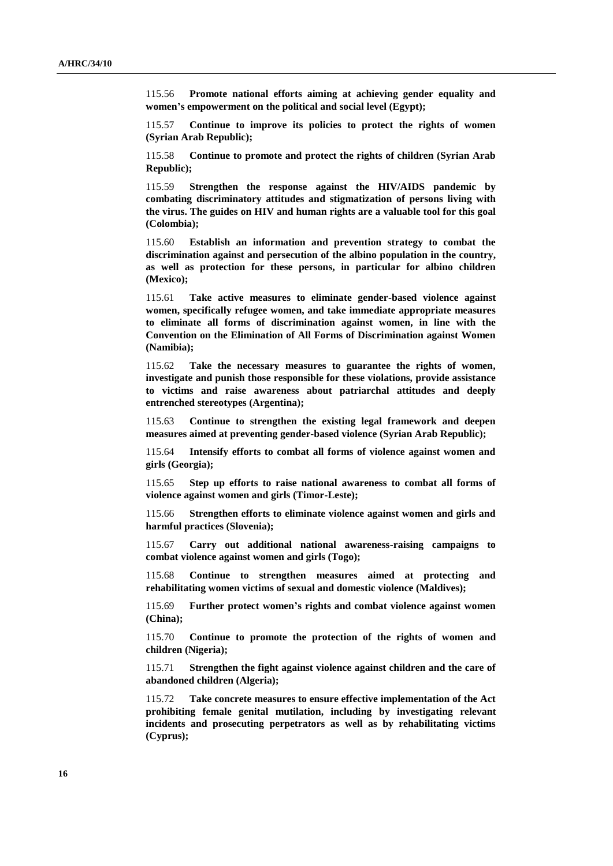115.56 **Promote national efforts aiming at achieving gender equality and women's empowerment on the political and social level (Egypt);**

115.57 **Continue to improve its policies to protect the rights of women (Syrian Arab Republic);**

115.58 **Continue to promote and protect the rights of children (Syrian Arab Republic);**

115.59 **Strengthen the response against the HIV/AIDS pandemic by combating discriminatory attitudes and stigmatization of persons living with the virus. The guides on HIV and human rights are a valuable tool for this goal (Colombia);**

115.60 **Establish an information and prevention strategy to combat the discrimination against and persecution of the albino population in the country, as well as protection for these persons, in particular for albino children (Mexico);**

115.61 **Take active measures to eliminate gender-based violence against women, specifically refugee women, and take immediate appropriate measures to eliminate all forms of discrimination against women, in line with the Convention on the Elimination of All Forms of Discrimination against Women (Namibia);**

115.62 **Take the necessary measures to guarantee the rights of women, investigate and punish those responsible for these violations, provide assistance to victims and raise awareness about patriarchal attitudes and deeply entrenched stereotypes (Argentina);**

115.63 **Continue to strengthen the existing legal framework and deepen measures aimed at preventing gender-based violence (Syrian Arab Republic);**

115.64 **Intensify efforts to combat all forms of violence against women and girls (Georgia);**

115.65 **Step up efforts to raise national awareness to combat all forms of violence against women and girls (Timor-Leste);**

115.66 **Strengthen efforts to eliminate violence against women and girls and harmful practices (Slovenia);**

115.67 **Carry out additional national awareness-raising campaigns to combat violence against women and girls (Togo);**

115.68 **Continue to strengthen measures aimed at protecting and rehabilitating women victims of sexual and domestic violence (Maldives);**

115.69 **Further protect women's rights and combat violence against women (China);**

115.70 **Continue to promote the protection of the rights of women and children (Nigeria);**

115.71 **Strengthen the fight against violence against children and the care of abandoned children (Algeria);**

115.72 **Take concrete measures to ensure effective implementation of the Act prohibiting female genital mutilation, including by investigating relevant incidents and prosecuting perpetrators as well as by rehabilitating victims (Cyprus);**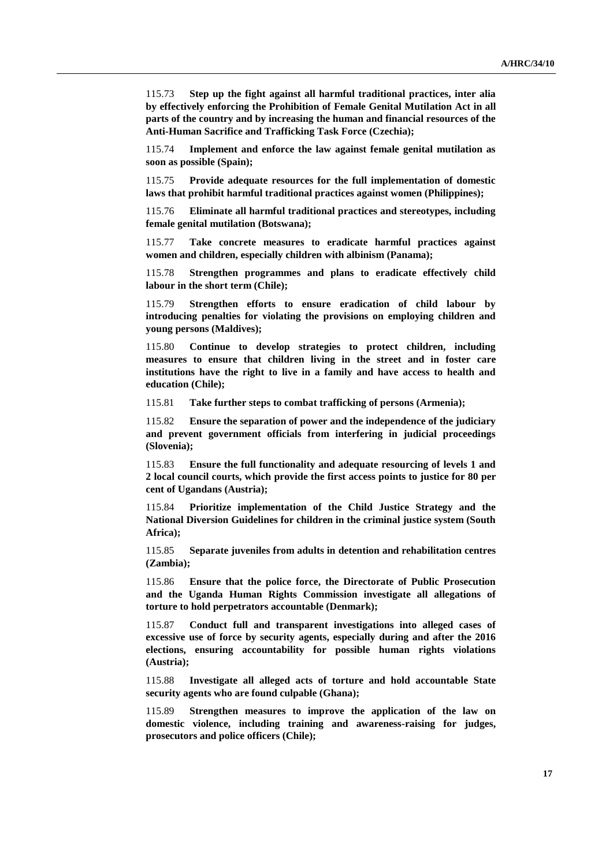115.73 **Step up the fight against all harmful traditional practices, inter alia by effectively enforcing the Prohibition of Female Genital Mutilation Act in all parts of the country and by increasing the human and financial resources of the Anti-Human Sacrifice and Trafficking Task Force (Czechia);**

115.74 **Implement and enforce the law against female genital mutilation as soon as possible (Spain);**

115.75 **Provide adequate resources for the full implementation of domestic laws that prohibit harmful traditional practices against women (Philippines);**

115.76 **Eliminate all harmful traditional practices and stereotypes, including female genital mutilation (Botswana);**

115.77 **Take concrete measures to eradicate harmful practices against women and children, especially children with albinism (Panama);**

115.78 **Strengthen programmes and plans to eradicate effectively child labour in the short term (Chile);**

115.79 **Strengthen efforts to ensure eradication of child labour by introducing penalties for violating the provisions on employing children and young persons (Maldives);**

115.80 **Continue to develop strategies to protect children, including measures to ensure that children living in the street and in foster care institutions have the right to live in a family and have access to health and education (Chile);**

115.81 **Take further steps to combat trafficking of persons (Armenia);**

115.82 **Ensure the separation of power and the independence of the judiciary and prevent government officials from interfering in judicial proceedings (Slovenia);**

115.83 **Ensure the full functionality and adequate resourcing of levels 1 and 2 local council courts, which provide the first access points to justice for 80 per cent of Ugandans (Austria);**

115.84 **Prioritize implementation of the Child Justice Strategy and the National Diversion Guidelines for children in the criminal justice system (South Africa);**

115.85 **Separate juveniles from adults in detention and rehabilitation centres (Zambia);**

115.86 **Ensure that the police force, the Directorate of Public Prosecution and the Uganda Human Rights Commission investigate all allegations of torture to hold perpetrators accountable (Denmark);**

115.87 **Conduct full and transparent investigations into alleged cases of excessive use of force by security agents, especially during and after the 2016 elections, ensuring accountability for possible human rights violations (Austria);**

115.88 **Investigate all alleged acts of torture and hold accountable State security agents who are found culpable (Ghana);**

115.89 **Strengthen measures to improve the application of the law on domestic violence, including training and awareness-raising for judges, prosecutors and police officers (Chile);**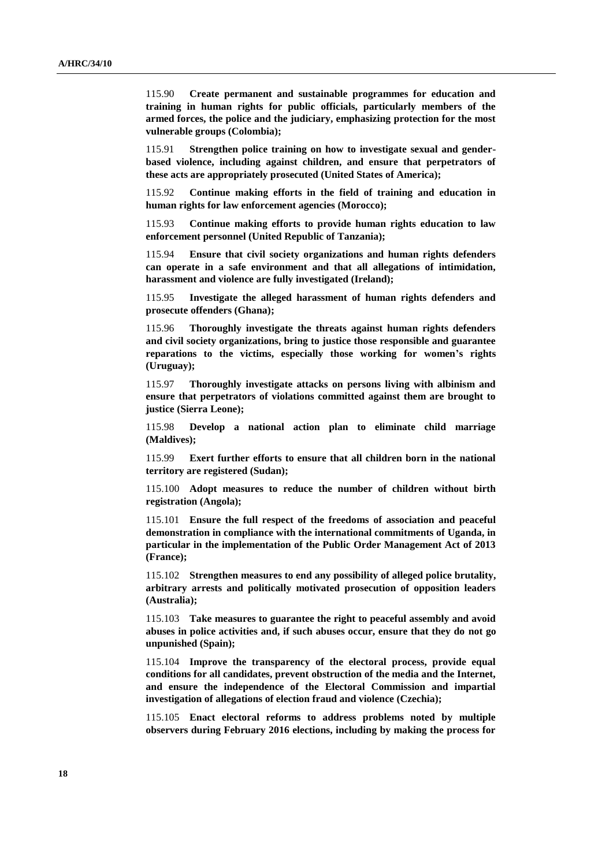115.90 **Create permanent and sustainable programmes for education and training in human rights for public officials, particularly members of the armed forces, the police and the judiciary, emphasizing protection for the most vulnerable groups (Colombia);**

115.91 **Strengthen police training on how to investigate sexual and genderbased violence, including against children, and ensure that perpetrators of these acts are appropriately prosecuted (United States of America);**

115.92 **Continue making efforts in the field of training and education in human rights for law enforcement agencies (Morocco);**

115.93 **Continue making efforts to provide human rights education to law enforcement personnel (United Republic of Tanzania);**

115.94 **Ensure that civil society organizations and human rights defenders can operate in a safe environment and that all allegations of intimidation, harassment and violence are fully investigated (Ireland);**

115.95 **Investigate the alleged harassment of human rights defenders and prosecute offenders (Ghana);**

115.96 **Thoroughly investigate the threats against human rights defenders and civil society organizations, bring to justice those responsible and guarantee reparations to the victims, especially those working for women's rights (Uruguay);**

115.97 **Thoroughly investigate attacks on persons living with albinism and ensure that perpetrators of violations committed against them are brought to justice (Sierra Leone);**

115.98 **Develop a national action plan to eliminate child marriage (Maldives);**

115.99 **Exert further efforts to ensure that all children born in the national territory are registered (Sudan);**

115.100 **Adopt measures to reduce the number of children without birth registration (Angola);**

115.101 **Ensure the full respect of the freedoms of association and peaceful demonstration in compliance with the international commitments of Uganda, in particular in the implementation of the Public Order Management Act of 2013 (France);**

115.102 **Strengthen measures to end any possibility of alleged police brutality, arbitrary arrests and politically motivated prosecution of opposition leaders (Australia);**

115.103 **Take measures to guarantee the right to peaceful assembly and avoid abuses in police activities and, if such abuses occur, ensure that they do not go unpunished (Spain);**

115.104 **Improve the transparency of the electoral process, provide equal conditions for all candidates, prevent obstruction of the media and the Internet, and ensure the independence of the Electoral Commission and impartial investigation of allegations of election fraud and violence (Czechia);**

115.105 **Enact electoral reforms to address problems noted by multiple observers during February 2016 elections, including by making the process for**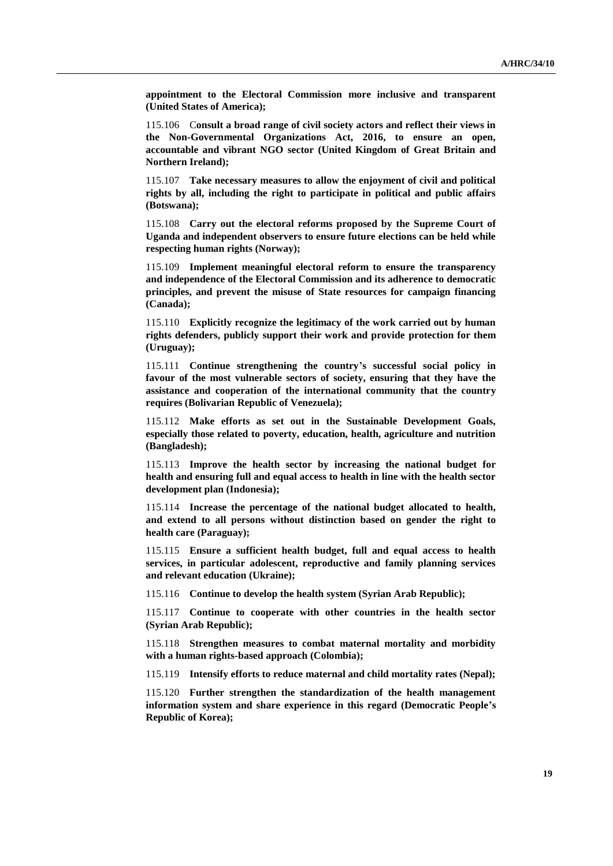**appointment to the Electoral Commission more inclusive and transparent (United States of America);**

115.106 C**onsult a broad range of civil society actors and reflect their views in the Non-Governmental Organizations Act, 2016, to ensure an open, accountable and vibrant NGO sector (United Kingdom of Great Britain and Northern Ireland);**

115.107 **Take necessary measures to allow the enjoyment of civil and political rights by all, including the right to participate in political and public affairs (Botswana);**

115.108 **Carry out the electoral reforms proposed by the Supreme Court of Uganda and independent observers to ensure future elections can be held while respecting human rights (Norway);**

115.109 **Implement meaningful electoral reform to ensure the transparency and independence of the Electoral Commission and its adherence to democratic principles, and prevent the misuse of State resources for campaign financing (Canada);**

115.110 **Explicitly recognize the legitimacy of the work carried out by human rights defenders, publicly support their work and provide protection for them (Uruguay);**

115.111 **Continue strengthening the country's successful social policy in favour of the most vulnerable sectors of society, ensuring that they have the assistance and cooperation of the international community that the country requires (Bolivarian Republic of Venezuela);**

115.112 **Make efforts as set out in the Sustainable Development Goals, especially those related to poverty, education, health, agriculture and nutrition (Bangladesh);**

115.113 **Improve the health sector by increasing the national budget for health and ensuring full and equal access to health in line with the health sector development plan (Indonesia);**

115.114 **Increase the percentage of the national budget allocated to health, and extend to all persons without distinction based on gender the right to health care (Paraguay);**

115.115 **Ensure a sufficient health budget, full and equal access to health services, in particular adolescent, reproductive and family planning services and relevant education (Ukraine);**

115.116 **Continue to develop the health system (Syrian Arab Republic);**

115.117 **Continue to cooperate with other countries in the health sector (Syrian Arab Republic);**

115.118 **Strengthen measures to combat maternal mortality and morbidity with a human rights-based approach (Colombia);**

115.119 **Intensify efforts to reduce maternal and child mortality rates (Nepal);**

115.120 **Further strengthen the standardization of the health management information system and share experience in this regard (Democratic People's Republic of Korea);**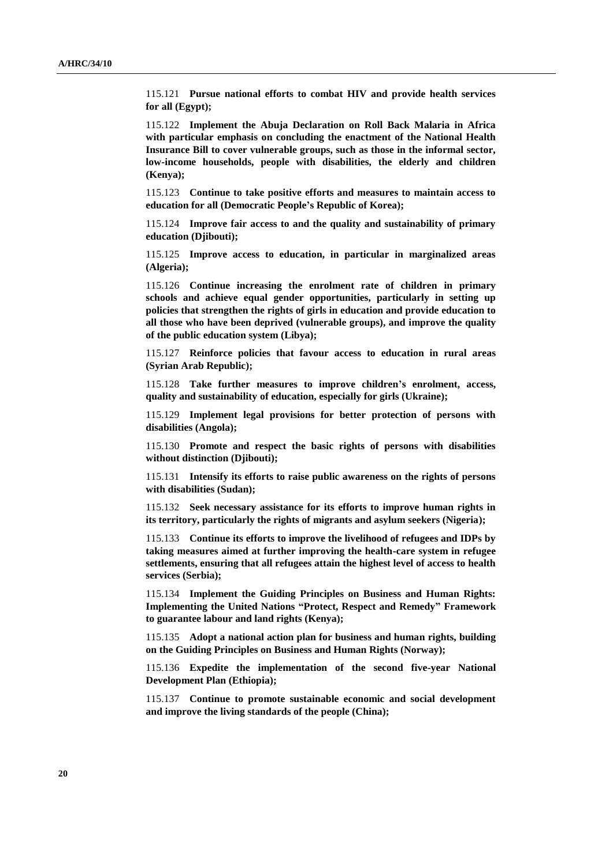115.121 **Pursue national efforts to combat HIV and provide health services for all (Egypt);**

115.122 **Implement the Abuja Declaration on Roll Back Malaria in Africa with particular emphasis on concluding the enactment of the National Health Insurance Bill to cover vulnerable groups, such as those in the informal sector, low-income households, people with disabilities, the elderly and children (Kenya);**

115.123 **Continue to take positive efforts and measures to maintain access to education for all (Democratic People's Republic of Korea);**

115.124 **Improve fair access to and the quality and sustainability of primary education (Djibouti);**

115.125 **Improve access to education, in particular in marginalized areas (Algeria);**

115.126 **Continue increasing the enrolment rate of children in primary schools and achieve equal gender opportunities, particularly in setting up policies that strengthen the rights of girls in education and provide education to all those who have been deprived (vulnerable groups), and improve the quality of the public education system (Libya);**

115.127 **Reinforce policies that favour access to education in rural areas (Syrian Arab Republic);**

115.128 **Take further measures to improve children's enrolment, access, quality and sustainability of education, especially for girls (Ukraine);**

115.129 **Implement legal provisions for better protection of persons with disabilities (Angola);**

115.130 **Promote and respect the basic rights of persons with disabilities without distinction (Djibouti);**

115.131 **Intensify its efforts to raise public awareness on the rights of persons with disabilities (Sudan);**

115.132 **Seek necessary assistance for its efforts to improve human rights in its territory, particularly the rights of migrants and asylum seekers (Nigeria);**

115.133 **Continue its efforts to improve the livelihood of refugees and IDPs by taking measures aimed at further improving the health-care system in refugee settlements, ensuring that all refugees attain the highest level of access to health services (Serbia);**

115.134 **Implement the Guiding Principles on Business and Human Rights: Implementing the United Nations "Protect, Respect and Remedy" Framework to guarantee labour and land rights (Kenya);**

115.135 **Adopt a national action plan for business and human rights, building on the Guiding Principles on Business and Human Rights (Norway);**

115.136 **Expedite the implementation of the second five-year National Development Plan (Ethiopia);**

115.137 **Continue to promote sustainable economic and social development and improve the living standards of the people (China);**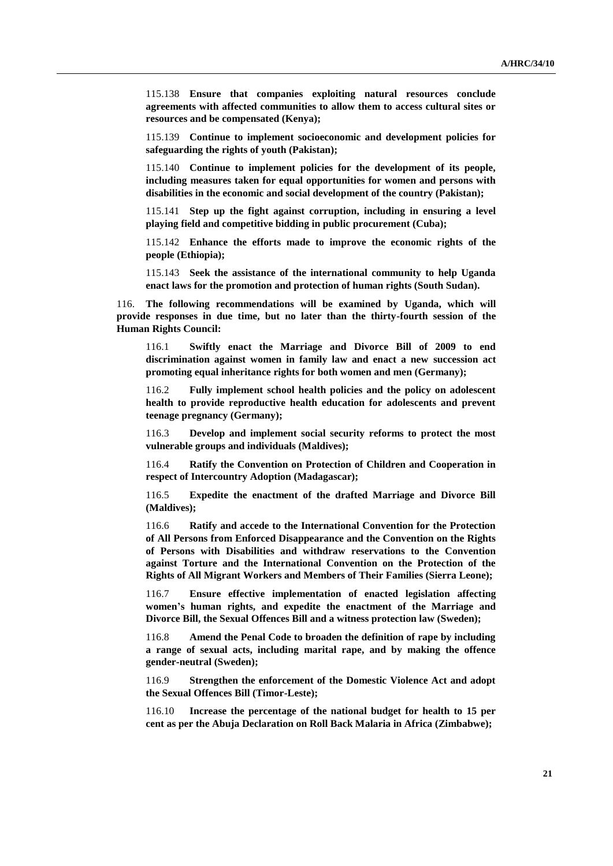115.138 **Ensure that companies exploiting natural resources conclude agreements with affected communities to allow them to access cultural sites or resources and be compensated (Kenya);**

115.139 **Continue to implement socioeconomic and development policies for safeguarding the rights of youth (Pakistan);**

115.140 **Continue to implement policies for the development of its people, including measures taken for equal opportunities for women and persons with disabilities in the economic and social development of the country (Pakistan);**

115.141 **Step up the fight against corruption, including in ensuring a level playing field and competitive bidding in public procurement (Cuba);**

115.142 **Enhance the efforts made to improve the economic rights of the people (Ethiopia);**

115.143 **Seek the assistance of the international community to help Uganda enact laws for the promotion and protection of human rights (South Sudan).**

116. **The following recommendations will be examined by Uganda, which will provide responses in due time, but no later than the thirty-fourth session of the Human Rights Council:**

116.1 **Swiftly enact the Marriage and Divorce Bill of 2009 to end discrimination against women in family law and enact a new succession act promoting equal inheritance rights for both women and men (Germany);**

116.2 **Fully implement school health policies and the policy on adolescent health to provide reproductive health education for adolescents and prevent teenage pregnancy (Germany);**

116.3 **Develop and implement social security reforms to protect the most vulnerable groups and individuals (Maldives);**

116.4 **Ratify the Convention on Protection of Children and Cooperation in respect of Intercountry Adoption (Madagascar);**

116.5 **Expedite the enactment of the drafted Marriage and Divorce Bill (Maldives);**

116.6 **Ratify and accede to the International Convention for the Protection of All Persons from Enforced Disappearance and the Convention on the Rights of Persons with Disabilities and withdraw reservations to the Convention against Torture and the International Convention on the Protection of the Rights of All Migrant Workers and Members of Their Families (Sierra Leone);**

116.7 **Ensure effective implementation of enacted legislation affecting women's human rights, and expedite the enactment of the Marriage and Divorce Bill, the Sexual Offences Bill and a witness protection law (Sweden);**

116.8 **Amend the Penal Code to broaden the definition of rape by including a range of sexual acts, including marital rape, and by making the offence gender-neutral (Sweden);**

116.9 **Strengthen the enforcement of the Domestic Violence Act and adopt the Sexual Offences Bill (Timor-Leste);**

116.10 **Increase the percentage of the national budget for health to 15 per cent as per the Abuja Declaration on Roll Back Malaria in Africa (Zimbabwe);**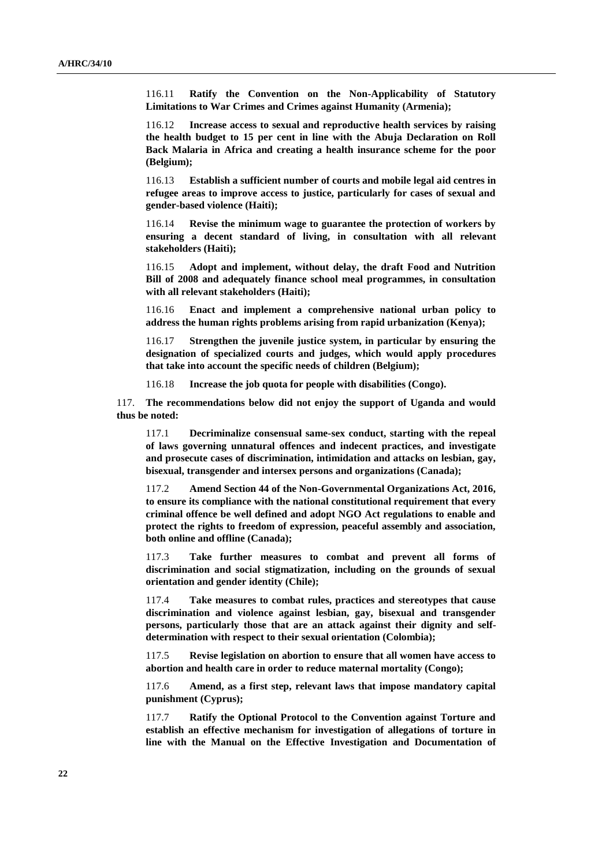116.11 **Ratify the Convention on the Non-Applicability of Statutory Limitations to War Crimes and Crimes against Humanity (Armenia);**

116.12 **Increase access to sexual and reproductive health services by raising the health budget to 15 per cent in line with the Abuja Declaration on Roll Back Malaria in Africa and creating a health insurance scheme for the poor (Belgium);**

116.13 **Establish a sufficient number of courts and mobile legal aid centres in refugee areas to improve access to justice, particularly for cases of sexual and gender-based violence (Haiti);**

116.14 **Revise the minimum wage to guarantee the protection of workers by ensuring a decent standard of living, in consultation with all relevant stakeholders (Haiti);**

116.15 **Adopt and implement, without delay, the draft Food and Nutrition Bill of 2008 and adequately finance school meal programmes, in consultation with all relevant stakeholders (Haiti);**

116.16 **Enact and implement a comprehensive national urban policy to address the human rights problems arising from rapid urbanization (Kenya);**

116.17 **Strengthen the juvenile justice system, in particular by ensuring the designation of specialized courts and judges, which would apply procedures that take into account the specific needs of children (Belgium);**

116.18 **Increase the job quota for people with disabilities (Congo).**

117. **The recommendations below did not enjoy the support of Uganda and would thus be noted:**

117.1 **Decriminalize consensual same-sex conduct, starting with the repeal of laws governing unnatural offences and indecent practices, and investigate and prosecute cases of discrimination, intimidation and attacks on lesbian, gay, bisexual, transgender and intersex persons and organizations (Canada);**

117.2 **Amend Section 44 of the Non-Governmental Organizations Act, 2016, to ensure its compliance with the national constitutional requirement that every criminal offence be well defined and adopt NGO Act regulations to enable and protect the rights to freedom of expression, peaceful assembly and association, both online and offline (Canada);**

117.3 **Take further measures to combat and prevent all forms of discrimination and social stigmatization, including on the grounds of sexual orientation and gender identity (Chile);**

117.4 **Take measures to combat rules, practices and stereotypes that cause discrimination and violence against lesbian, gay, bisexual and transgender persons, particularly those that are an attack against their dignity and selfdetermination with respect to their sexual orientation (Colombia);**

117.5 **Revise legislation on abortion to ensure that all women have access to abortion and health care in order to reduce maternal mortality (Congo);**

117.6 **Amend, as a first step, relevant laws that impose mandatory capital punishment (Cyprus);**

117.7 **Ratify the Optional Protocol to the Convention against Torture and establish an effective mechanism for investigation of allegations of torture in line with the Manual on the Effective Investigation and Documentation of**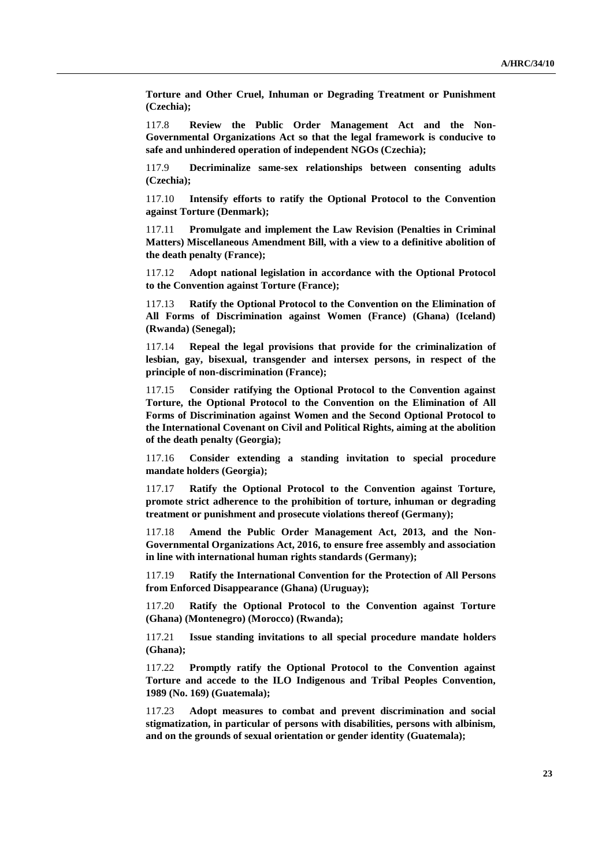**Torture and Other Cruel, Inhuman or Degrading Treatment or Punishment (Czechia);**

117.8 **Review the Public Order Management Act and the Non-Governmental Organizations Act so that the legal framework is conducive to safe and unhindered operation of independent NGOs (Czechia);**

117.9 **Decriminalize same-sex relationships between consenting adults (Czechia);**

117.10 **Intensify efforts to ratify the Optional Protocol to the Convention against Torture (Denmark);**

117.11 **Promulgate and implement the Law Revision (Penalties in Criminal Matters) Miscellaneous Amendment Bill, with a view to a definitive abolition of the death penalty (France);**

117.12 **Adopt national legislation in accordance with the Optional Protocol to the Convention against Torture (France);**

117.13 **Ratify the Optional Protocol to the Convention on the Elimination of All Forms of Discrimination against Women (France) (Ghana) (Iceland) (Rwanda) (Senegal);**

117.14 **Repeal the legal provisions that provide for the criminalization of lesbian, gay, bisexual, transgender and intersex persons, in respect of the principle of non-discrimination (France);**

117.15 **Consider ratifying the Optional Protocol to the Convention against Torture, the Optional Protocol to the Convention on the Elimination of All Forms of Discrimination against Women and the Second Optional Protocol to the International Covenant on Civil and Political Rights, aiming at the abolition of the death penalty (Georgia);**

117.16 **Consider extending a standing invitation to special procedure mandate holders (Georgia);**

117.17 **Ratify the Optional Protocol to the Convention against Torture, promote strict adherence to the prohibition of torture, inhuman or degrading treatment or punishment and prosecute violations thereof (Germany);**

117.18 **Amend the Public Order Management Act, 2013, and the Non-Governmental Organizations Act, 2016, to ensure free assembly and association in line with international human rights standards (Germany);**

117.19 **Ratify the International Convention for the Protection of All Persons from Enforced Disappearance (Ghana) (Uruguay);**

117.20 **Ratify the Optional Protocol to the Convention against Torture (Ghana) (Montenegro) (Morocco) (Rwanda);**

117.21 **Issue standing invitations to all special procedure mandate holders (Ghana);**

117.22 **Promptly ratify the Optional Protocol to the Convention against Torture and accede to the ILO Indigenous and Tribal Peoples Convention, 1989 (No. 169) (Guatemala);**

117.23 **Adopt measures to combat and prevent discrimination and social stigmatization, in particular of persons with disabilities, persons with albinism, and on the grounds of sexual orientation or gender identity (Guatemala);**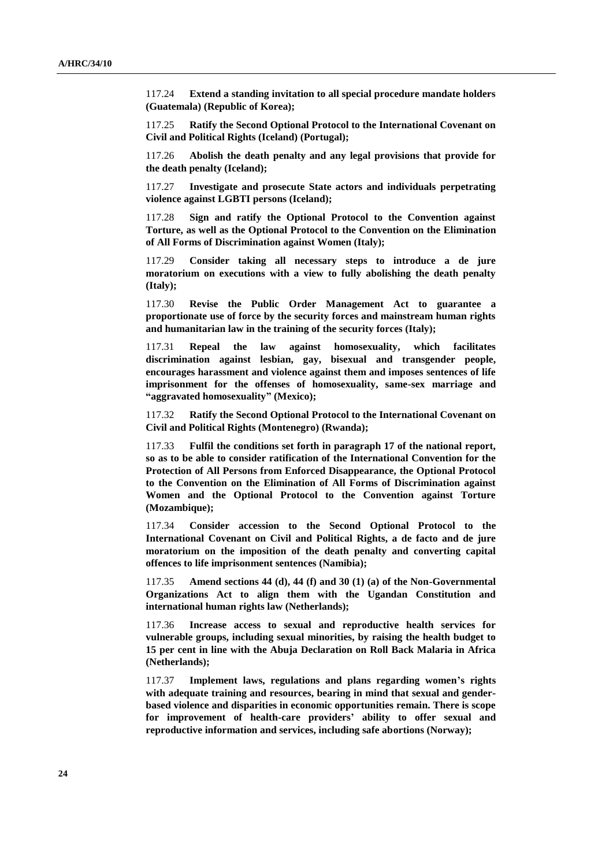117.24 **Extend a standing invitation to all special procedure mandate holders (Guatemala) (Republic of Korea);**

117.25 **Ratify the Second Optional Protocol to the International Covenant on Civil and Political Rights (Iceland) (Portugal);**

117.26 **Abolish the death penalty and any legal provisions that provide for the death penalty (Iceland);**

117.27 **Investigate and prosecute State actors and individuals perpetrating violence against LGBTI persons (Iceland);**

117.28 **Sign and ratify the Optional Protocol to the Convention against Torture, as well as the Optional Protocol to the Convention on the Elimination of All Forms of Discrimination against Women (Italy);**

117.29 **Consider taking all necessary steps to introduce a de jure moratorium on executions with a view to fully abolishing the death penalty (Italy);**

117.30 **Revise the Public Order Management Act to guarantee a proportionate use of force by the security forces and mainstream human rights and humanitarian law in the training of the security forces (Italy);**

117.31 **Repeal the law against homosexuality, which facilitates discrimination against lesbian, gay, bisexual and transgender people, encourages harassment and violence against them and imposes sentences of life imprisonment for the offenses of homosexuality, same-sex marriage and "aggravated homosexuality" (Mexico);**

117.32 **Ratify the Second Optional Protocol to the International Covenant on Civil and Political Rights (Montenegro) (Rwanda);**

117.33 **Fulfil the conditions set forth in paragraph 17 of the national report, so as to be able to consider ratification of the International Convention for the Protection of All Persons from Enforced Disappearance, the Optional Protocol to the Convention on the Elimination of All Forms of Discrimination against Women and the Optional Protocol to the Convention against Torture (Mozambique);**

117.34 **Consider accession to the Second Optional Protocol to the International Covenant on Civil and Political Rights, a de facto and de jure moratorium on the imposition of the death penalty and converting capital offences to life imprisonment sentences (Namibia);**

117.35 **Amend sections 44 (d), 44 (f) and 30 (1) (a) of the Non-Governmental Organizations Act to align them with the Ugandan Constitution and international human rights law (Netherlands);**

117.36 **Increase access to sexual and reproductive health services for vulnerable groups, including sexual minorities, by raising the health budget to 15 per cent in line with the Abuja Declaration on Roll Back Malaria in Africa (Netherlands);**

117.37 **Implement laws, regulations and plans regarding women's rights with adequate training and resources, bearing in mind that sexual and genderbased violence and disparities in economic opportunities remain. There is scope for improvement of health-care providers' ability to offer sexual and reproductive information and services, including safe abortions (Norway);**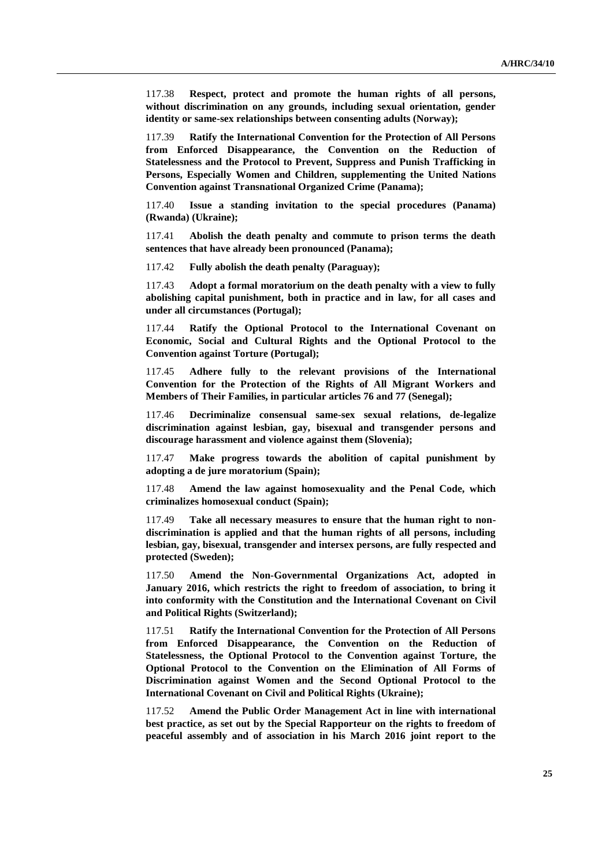117.38 **Respect, protect and promote the human rights of all persons, without discrimination on any grounds, including sexual orientation, gender identity or same-sex relationships between consenting adults (Norway);**

117.39 **Ratify the International Convention for the Protection of All Persons from Enforced Disappearance, the Convention on the Reduction of Statelessness and the Protocol to Prevent, Suppress and Punish Trafficking in Persons, Especially Women and Children, supplementing the United Nations Convention against Transnational Organized Crime (Panama);**

117.40 **Issue a standing invitation to the special procedures (Panama) (Rwanda) (Ukraine);**

117.41 **Abolish the death penalty and commute to prison terms the death sentences that have already been pronounced (Panama);**

117.42 **Fully abolish the death penalty (Paraguay);**

117.43 **Adopt a formal moratorium on the death penalty with a view to fully abolishing capital punishment, both in practice and in law, for all cases and under all circumstances (Portugal);**

117.44 **Ratify the Optional Protocol to the International Covenant on Economic, Social and Cultural Rights and the Optional Protocol to the Convention against Torture (Portugal);**

117.45 **Adhere fully to the relevant provisions of the International Convention for the Protection of the Rights of All Migrant Workers and Members of Their Families, in particular articles 76 and 77 (Senegal);**

117.46 **Decriminalize consensual same-sex sexual relations, de-legalize discrimination against lesbian, gay, bisexual and transgender persons and discourage harassment and violence against them (Slovenia);**

117.47 **Make progress towards the abolition of capital punishment by adopting a de jure moratorium (Spain);**

117.48 **Amend the law against homosexuality and the Penal Code, which criminalizes homosexual conduct (Spain);**

117.49 **Take all necessary measures to ensure that the human right to nondiscrimination is applied and that the human rights of all persons, including lesbian, gay, bisexual, transgender and intersex persons, are fully respected and protected (Sweden);**

117.50 **Amend the Non-Governmental Organizations Act, adopted in January 2016, which restricts the right to freedom of association, to bring it into conformity with the Constitution and the International Covenant on Civil and Political Rights (Switzerland);**

117.51 **Ratify the International Convention for the Protection of All Persons from Enforced Disappearance, the Convention on the Reduction of Statelessness, the Optional Protocol to the Convention against Torture, the Optional Protocol to the Convention on the Elimination of All Forms of Discrimination against Women and the Second Optional Protocol to the International Covenant on Civil and Political Rights (Ukraine);**

117.52 **Amend the Public Order Management Act in line with international best practice, as set out by the Special Rapporteur on the rights to freedom of peaceful assembly and of association in his March 2016 joint report to the**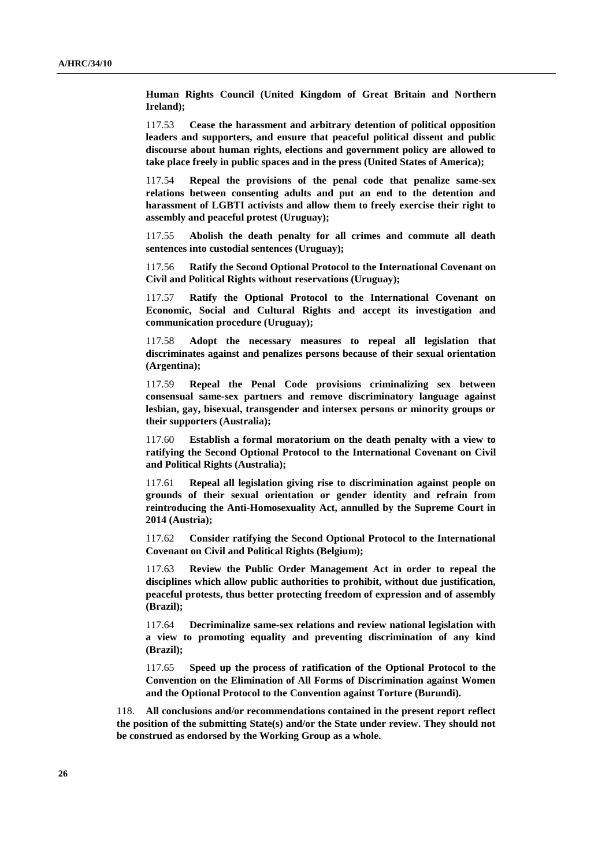**Human Rights Council (United Kingdom of Great Britain and Northern Ireland);**

117.53 **Cease the harassment and arbitrary detention of political opposition leaders and supporters, and ensure that peaceful political dissent and public discourse about human rights, elections and government policy are allowed to take place freely in public spaces and in the press (United States of America);**

117.54 **Repeal the provisions of the penal code that penalize same-sex relations between consenting adults and put an end to the detention and harassment of LGBTI activists and allow them to freely exercise their right to assembly and peaceful protest (Uruguay);**

117.55 **Abolish the death penalty for all crimes and commute all death sentences into custodial sentences (Uruguay);**

117.56 **Ratify the Second Optional Protocol to the International Covenant on Civil and Political Rights without reservations (Uruguay);**

117.57 **Ratify the Optional Protocol to the International Covenant on Economic, Social and Cultural Rights and accept its investigation and communication procedure (Uruguay);**

117.58 **Adopt the necessary measures to repeal all legislation that discriminates against and penalizes persons because of their sexual orientation (Argentina);**

117.59 **Repeal the Penal Code provisions criminalizing sex between consensual same-sex partners and remove discriminatory language against lesbian, gay, bisexual, transgender and intersex persons or minority groups or their supporters (Australia);**

117.60 **Establish a formal moratorium on the death penalty with a view to ratifying the Second Optional Protocol to the International Covenant on Civil and Political Rights (Australia);**

117.61 **Repeal all legislation giving rise to discrimination against people on grounds of their sexual orientation or gender identity and refrain from reintroducing the Anti-Homosexuality Act, annulled by the Supreme Court in 2014 (Austria);**

117.62 **Consider ratifying the Second Optional Protocol to the International Covenant on Civil and Political Rights (Belgium);**

117.63 **Review the Public Order Management Act in order to repeal the disciplines which allow public authorities to prohibit, without due justification, peaceful protests, thus better protecting freedom of expression and of assembly (Brazil);**

117.64 **Decriminalize same-sex relations and review national legislation with a view to promoting equality and preventing discrimination of any kind (Brazil);**

117.65 **Speed up the process of ratification of the Optional Protocol to the Convention on the Elimination of All Forms of Discrimination against Women and the Optional Protocol to the Convention against Torture (Burundi).**

118. **All conclusions and/or recommendations contained in the present report reflect the position of the submitting State(s) and/or the State under review. They should not be construed as endorsed by the Working Group as a whole.**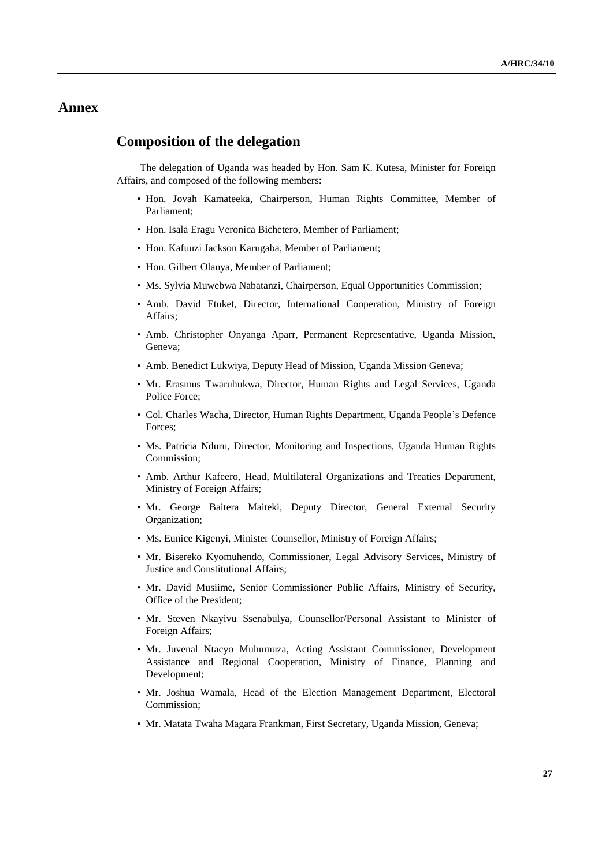# **Annex**

## **Composition of the delegation**

The delegation of Uganda was headed by Hon. Sam K. Kutesa, Minister for Foreign Affairs, and composed of the following members:

- Hon. Jovah Kamateeka, Chairperson, Human Rights Committee, Member of Parliament;
- Hon. Isala Eragu Veronica Bichetero, Member of Parliament;
- Hon. Kafuuzi Jackson Karugaba, Member of Parliament;
- Hon. Gilbert Olanya, Member of Parliament;
- Ms. Sylvia Muwebwa Nabatanzi, Chairperson, Equal Opportunities Commission;
- Amb. David Etuket, Director, International Cooperation, Ministry of Foreign Affairs;
- Amb. Christopher Onyanga Aparr, Permanent Representative, Uganda Mission, Geneva;
- Amb. Benedict Lukwiya, Deputy Head of Mission, Uganda Mission Geneva;
- Mr. Erasmus Twaruhukwa, Director, Human Rights and Legal Services, Uganda Police Force;
- Col. Charles Wacha, Director, Human Rights Department, Uganda People's Defence Forces;
- Ms. Patricia Nduru, Director, Monitoring and Inspections, Uganda Human Rights Commission;
- Amb. Arthur Kafeero, Head, Multilateral Organizations and Treaties Department, Ministry of Foreign Affairs;
- Mr. George Baitera Maiteki, Deputy Director, General External Security Organization;
- Ms. Eunice Kigenyi, Minister Counsellor, Ministry of Foreign Affairs;
- Mr. Bisereko Kyomuhendo, Commissioner, Legal Advisory Services, Ministry of Justice and Constitutional Affairs;
- Mr. David Musiime, Senior Commissioner Public Affairs, Ministry of Security, Office of the President;
- Mr. Steven Nkayivu Ssenabulya, Counsellor/Personal Assistant to Minister of Foreign Affairs;
- Mr. Juvenal Ntacyo Muhumuza, Acting Assistant Commissioner, Development Assistance and Regional Cooperation, Ministry of Finance, Planning and Development;
- Mr. Joshua Wamala, Head of the Election Management Department, Electoral Commission;
- Mr. Matata Twaha Magara Frankman, First Secretary, Uganda Mission, Geneva;